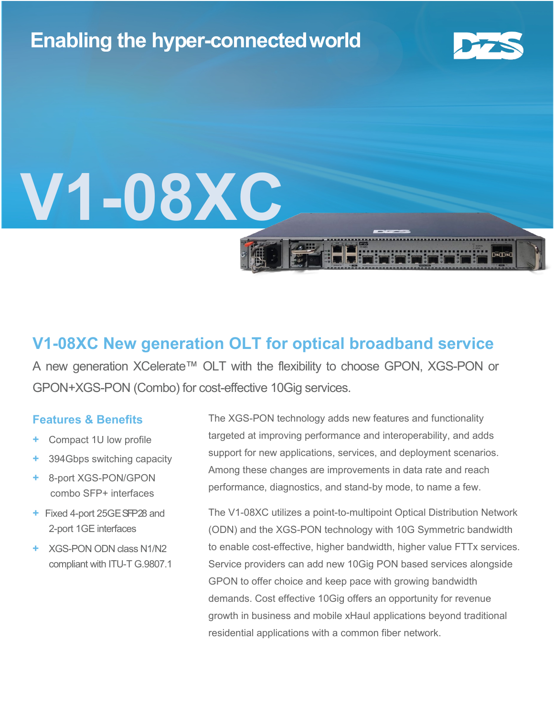# **Enabling the hyper-connectedworld**



 $\sqrt{1}$ 

# **V1-08XC**

### **V1-08XC New generation OLT for optical broadband service**

A new generation XCelerate™ OLT with the flexibility to choose GPON, XGS-PON or GPON+XGS-PON (Combo) for cost-effective 10Gig services.

#### **Features & Benefits**

- **Compact 1U low profile**
- **+** 394Gbps switching capacity
- **+** 8-port XGS-PON/GPON combo SFP+ interfaces
- **+ Fixed 4-port 25GE SFP28 and** 2-port 1GE interfaces
- **+** XGS-PON ODN class N1/N2 compliant with ITU-T G.9807.1

The XGS-PON technology adds new features and functionality targeted at improving performance and interoperability, and adds support for new applications, services, and deployment scenarios. Among these changes are improvements in data rate and reach performance, diagnostics, and stand-by mode, to name a few.

The V1-08XC utilizes a point-to-multipoint Optical Distribution Network (ODN) and the XGS-PON technology with 10G Symmetric bandwidth to enable cost-effective, higher bandwidth, higher value FTTx services. Service providers can add new 10Gig PON based services alongside GPON to offer choice and keep pace with growing bandwidth demands. Cost effective 10Gig offers an opportunity for revenue growth in business and mobile xHaul applications beyond traditional residential applications with a common fiber network.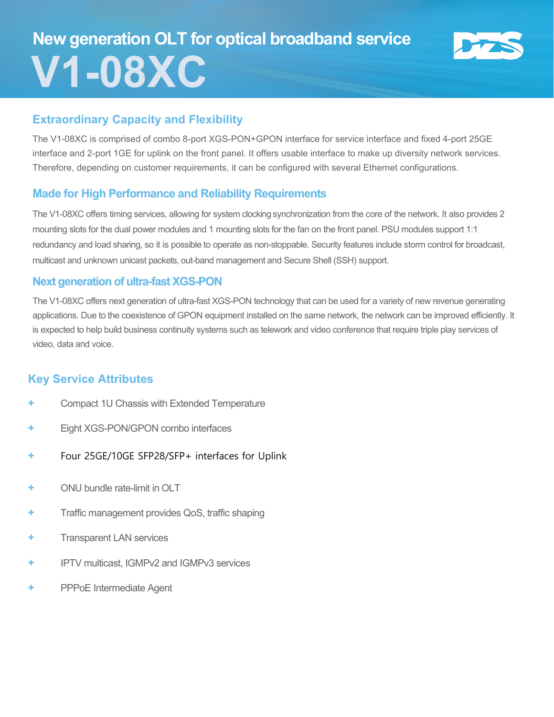# **New generation OLT for optical broadband service V1-08XC**



#### **Extraordinary Capacity and Flexibility**

The V1-08XC is comprised of combo 8-port XGS-PON+GPON interface for service interface and fixed 4-port 25GE interface and 2-port 1GE for uplink on the front panel. It offers usable interface to make up diversity network services. Therefore, depending on customer requirements, it can be configured with several Ethernet configurations.

#### **Made for High Performance and Reliability Requirements**

The V1-08XC offers timing services, allowing for system clocking synchronization from the core of the network. It also provides 2 mounting slots for the dual power modules and 1 mounting slots for the fan on the front panel. PSU modules support 1:1 redundancy and load sharing, so it is possible to operate as non-stoppable. Security features include storm control for broadcast, multicast and unknown unicast packets, out-band management and Secure Shell (SSH) support.

#### **Next generation of ultra-fast XGS-PON**

The V1-08XC offers next generation of ultra-fast XGS-PON technology that can be used for a variety of new revenue generating applications. Due to the coexistence of GPON equipment installed on the same network, the network can be improved efficiently. It is expected to help build business continuity systems such as telework and video conference that require triple play services of video, data and voice.

#### **Key Service Attributes**

- **+** Compact 1U Chassis with Extended Temperature
- **+** Eight XGS-PON/GPON combo interfaces
- **+** Four 25GE/10GE SFP28/SFP+ interfaces for Uplink
- **+** ONU bundle rate-limit in OLT
- **+** Traffic management provides QoS, traffic shaping
- **+** Transparent LAN services
- **+** IPTV multicast, IGMPv2 and IGMPv3 services
- **+** PPPoE Intermediate Agent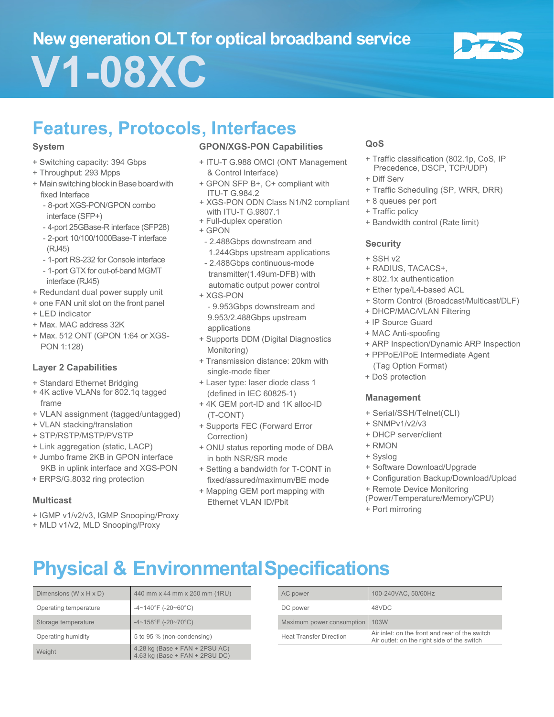# **New generation OLT for optical broadband service V1-08XC**



## **Features, Protocols, Interfaces**

#### **System**

- + Switching capacity: 394 Gbps
- + Throughput: 293 Mpps
- + Main switching block in Base board with fixed Interface
	- 8-port XGS-PON/GPON combo interface (SFP+)
	- 4-port 25GBase-R interface (SFP28)
	- 2-port 10/100/1000Base-T interface (RJ45)
	- 1-port RS-232 for Console interface
	- 1-port GTX for out-of-band MGMT interface (RJ45)
- + Redundant dual power supply unit
- + one FAN unit slot on the front panel
- + LED indicator
- + Max. MAC address 32K
- + Max. 512 ONT (GPON 1:64 or XGS-PON 1:128)

#### **Layer 2 Capabilities**

- + Standard Ethernet Bridging
- + 4K active VLANs for 802.1q tagged frame
- + VLAN assignment (tagged/untagged)
- + VLAN stacking/translation
- + STP/RSTP/MSTP/PVSTP
- + Link aggregation (static, LACP)
- + Jumbo frame 2KB in GPON interface 9KB in uplink interface and XGS-PON
- + ERPS/G.8032 ring protection

#### **Multicast**

- + IGMP v1/v2/v3, IGMP Snooping/Proxy
- + MLD v1/v2, MLD Snooping/Proxy

#### **GPON/XGS-PON Capabilities**

- + ITU-T G.988 OMCI (ONT Management & Control Interface)
- + GPON SFP B+, C+ compliant with ITU-T G.984.2
- + XGS-PON ODN Class N1/N2 compliant with ITU-T G.9807.1
- + Full-duplex operation
- + GPON
- 2.488Gbps downstream and 1.244Gbps upstream applications
- 2.488Gbps continuous-mode transmitter(1.49um-DFB) with
- automatic output power control + XGS-PON
- 9.953Gbps downstream and 9.953/2.488Gbps upstream applications
- + Supports DDM (Digital Diagnostics Monitoring)
- + Transmission distance: 20km with single-mode fiber
- + Laser type: laser diode class 1 (defined in IEC 60825-1)
- + 4K GEM port-ID and 1K alloc-ID (T-CONT)
- + Supports FEC (Forward Error Correction)
- + ONU status reporting mode of DBA in both NSR/SR mode
- + Setting a bandwidth for T-CONT in fixed/assured/maximum/BE mode
- + Mapping GEM port mapping with Ethernet VLAN ID/Pbit

#### **QoS**

- + Traffic classification (802.1p, CoS, IP Precedence, DSCP, TCP/UDP)
- + Diff Serv
- + Traffic Scheduling (SP, WRR, DRR)
- + 8 queues per port
- + Traffic policy
- + Bandwidth control (Rate limit)

#### **Security**

- + SSH v2
- + RADIUS, TACACS+,
- + 802.1x authentication
- + Ether type/L4-based ACL
- + Storm Control (Broadcast/Multicast/DLF)
- + DHCP/MAC/VLAN Filtering
- + IP Source Guard
- + MAC Anti-spoofing
- + ARP Inspection/Dynamic ARP Inspection
- + PPPoE/IPoE Intermediate Agent (Tag Option Format)
- + DoS protection

#### **Management**

- + Serial/SSH/Telnet(CLI)
- + SNMPv1/v2/v3
- + DHCP server/client
- + RMON
- + Syslog
- + Software Download/Upgrade
- + Configuration Backup/Download/Upload
- + Remote Device Monitoring
- (Power/Temperature/Memory/CPU)
- + Port mirroring

# **Physical & EnvironmentalSpecifications**

| Dimensions (W $\times$ H $\times$ D) | 440 mm x 44 mm x 250 mm (1RU)                                        |                                | AC power                  | 100-240VAC, 50/60Hz                                      |
|--------------------------------------|----------------------------------------------------------------------|--------------------------------|---------------------------|----------------------------------------------------------|
| Operating temperature                | $-4 \sim 140^{\circ}$ F (-20~60°C)                                   |                                | DC power                  | 48VDC                                                    |
| Storage temperature                  | $-4 \sim 158$ °F (-20~70°C)                                          |                                | Maximum power consumption | 103W                                                     |
| Operating humidity                   | 5 to 95 % (non-condensing)                                           | <b>Heat Transfer Direction</b> |                           | Air inlet: on the front ar<br>Air outlet: on the right s |
| Weight                               | $4.28$ kg (Base + FAN + 2PSU AC)<br>$4.63$ kg (Base + FAN + 2PSU DC) |                                |                           |                                                          |

| Dimensions (W x H x D) | 440 mm x 44 mm x 250 mm (1RU)      | AC power                       | 100-240VAC, 50/60Hz                                                                           |
|------------------------|------------------------------------|--------------------------------|-----------------------------------------------------------------------------------------------|
| Operating temperature  | $-4 \sim 140^{\circ}$ F (-20~60°C) | DC power                       | 48VDC                                                                                         |
| Storage temperature    | $-4 \sim 158$ °F (-20~70°C)        | Maximum power consumption 103W |                                                                                               |
| Operating humidity     | 5 to 95 % (non-condensing)         | <b>Heat Transfer Direction</b> | Air inlet: on the front and rear of the switch<br>Air outlet: on the right side of the switch |